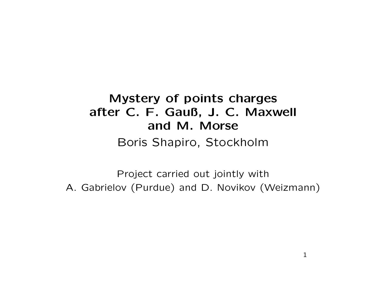# Mystery of points charges after C. F. Gauß, J. C. Maxwell and M. MorseBoris Shapiro, Stockholm

Project carried out jointly with A. Gabrielov (Purdue) and D. Novikov (Weizmann)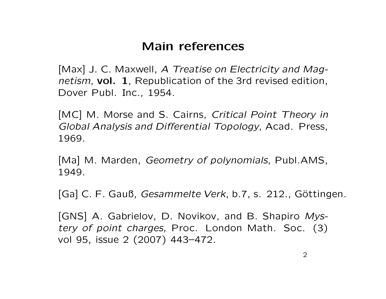## Main references

[Max] J. C. Maxwell, A Treatise on Electricity and Magnetism, **vol. 1**, Republication of the 3rd revised edition,<br>Denote Dubb Line 1954 Dover Publ. Inc., 1954.

[MC] M. Morse and S. Cairns, Critical Point Theory in Global Analysis and Differential Topology, Acad. Press, 1969.

[Ma] M. Marden, *Geometry of polynomials*, Publ.AMS, 1949.

[Ga] C. F. Gauß, Gesammelte Verk, b.7, s. 212., Göttingen.

[GNS] A. Gabrielov, D. Novikov, and B. Shapiro Mystery of point charges, Proc. London Math. Soc. (3) vol 95, issue <sup>2</sup> (2007) 443–472.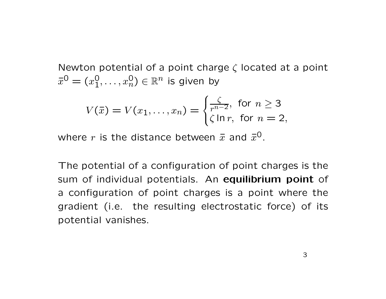Newton potential of a point charge  $\zeta$  located at a point  $\bar{x}^0 = (x_1^0)$  $\breve{1},\ldots, x_{\breve{r}}$ 0 $_n^{\mathsf{U}}) \in \mathbb{R}^n$  is given by

$$
V(\bar{x}) = V(x_1, \dots, x_n) = \begin{cases} \frac{\zeta}{r^{n-2}}, & \text{for } n \ge 3\\ \zeta \ln r, & \text{for } n = 2, \end{cases}
$$

where  $r$  is the distance between  $\bar{x}$  and  $\bar{x}^0$ .

The potential of <sup>a</sup> configuration of point charges is the sum of individual potentials. An equilibrium point of <sup>a</sup> configuration of point charges is <sup>a</sup> point where the gradient (i.e. the resulting electrostatic force) of its potential vanishes.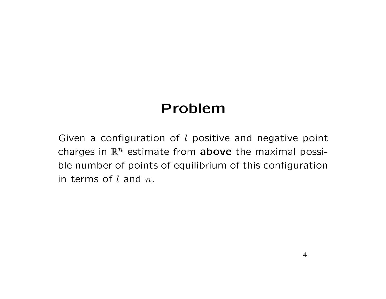# Problem

Given a configuration of  $l$  positive and negative point charges in  $\mathbb{R}^n$  estimate from **above** the maximal possi-<br>ble number of points of equilibrium of this configuration ble number of points of equilibrium of this configuration in terms of  $l$  and  $n$ .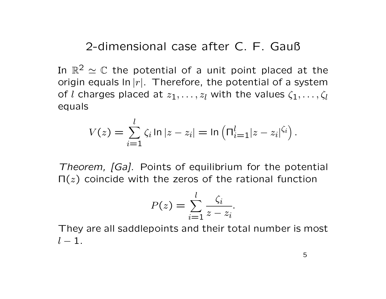2-dimensional case after C. F. Gauß

In  $\mathbb{R}^2$ origin equals  $\ln |r|$ . Therefore, the potential of a system  $\alpha^2 \simeq \mathbb{C}$  the potential of a unit point placed at the of  $l$  charges placed at  $z_1,\ldots,z_l$  with the values  $\zeta_1,\ldots,\zeta_l$ equals

$$
V(z) = \sum_{i=1}^{l} \zeta_i \ln |z - z_i| = \ln \left( \prod_{i=1}^{l} |z - z_i|^{\zeta_i} \right).
$$

Theorem, [Ga]. Points of equilibrium for the potential  $\Pi(z)$  coincide with the zeros of the rational function

$$
P(z) = \sum_{i=1}^{l} \frac{\zeta_i}{z - z_i}.
$$

 They are all saddlepoints and their total number is most  $l -1.$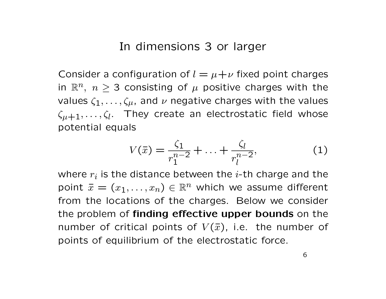### In dimensions <sup>3</sup> or larger

Consider a configuration of  $l = \mu + \nu$  fixed point charges in  $\mathbb{R}^n,\,\,n\geq 3$  consisting of  $\mu$  positive charges with the values  $\zeta_1,\ldots,\zeta_{\mu}$ , and  $\nu$  negative charges with the values  $\zeta_{\mu+1}, \ldots, \zeta_l$ . They create an electrostatic field whose potential equals

$$
V(\bar{x}) = \frac{\zeta_1}{r_1^{n-2}} + \dots + \frac{\zeta_l}{r_l^{n-2}},\tag{1}
$$

where  $r_i$  is the distance between the *i*-th charge and the point  $\bar{x} = (x_1, \ldots, x_n) \in \mathbb{R}^n$  which we assume different from the locations of the charges. Below we consider the problem of finding effective upper bounds on the number of critical points of  $V(\bar x)$ , i.e. the number of points of equilibrium of the electrostatic force.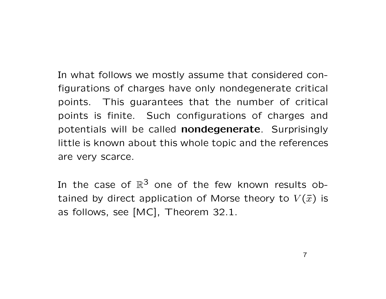In what follows we mostly assume that considered configurations of charges have only nondegenerate critical points. This guarantees that the number of critical points is finite. Such configurations of charges and potentials will be called nondegenerate. Surprisingly little is known about this whole topic and the references are very scarce.

In the case of  $\mathbb{R}^3$  one of the few known results obtained by direct application of Morse theory to  $V(\bar x)$  is as follows, see [MC], Theorem 32.1.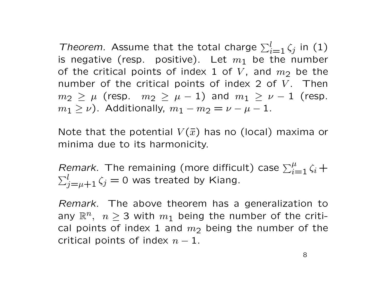Theorem. Assume that the total charge  $\sum_{i=1}^{l} \zeta_{j}$  in (1) is negative (resp. positive). Let  $m_1$  be the number of the critical points of index 1 of V, and  $m_2$  be the number of the critical points of index 2 of  $V$ . Then  $m_{2}\,\geq\,\mu$  (resp.  $m_{2}\,\geq\,\mu\,-\,1)$  and  $m_{1}\,\geq\,\nu\,-\,1$  (resp.  $m_1 \geq \nu$ ). Additionally,  $m_1 - m_2 = \nu - \mu - 1$ .

Note that the potential  $V(\bar{x})$  has no (local) maxima or minima due to its harmonicity.

Remark. The remaining (more difficult) case  $\sum_{i=1}^{\mu} \zeta_i +$  $\sum_{j=\mu+1}^l \zeta_j = 0$  was treated by Kiang.

Remark. The above theorem has a generalization to any  $\mathbb{R}^n, \;\; n\geq 3$  with  $m_1$  being the number of the critical points of index 1 and  $m_2$  being the number of the  $m_1$ critical points of index  $n-1$ .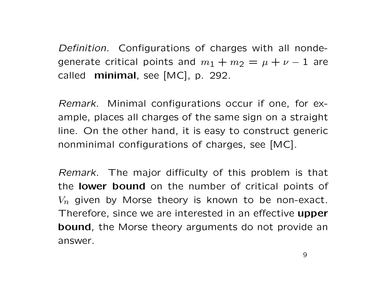Definition. Configurations of charges with all nondegenerate critical points and  $m_1 + m_2 = \mu + \nu - 1$  are<br>called reinimal ass  $[MG]$  in 200 called **minimal**, see [MC], p. 292.

Remark. Minimal configurations occur if one, for example, places all charges of the same sign on <sup>a</sup> straight line. On the other hand, it is easy to construct generic nonminimal configurations of charges, see [MC].

Remark. The major difficulty of this problem is that the **lower bound** on the number of critical points of  $V_n$  given by Morse theory is known to be non-exact. Therefore, since we are interested in an effective upper bound, the Morse theory arguments do not provide an answer.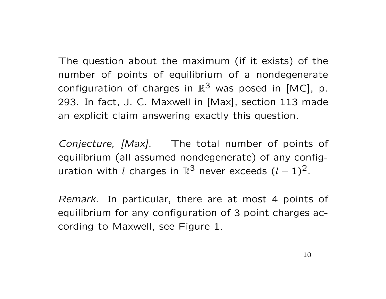The question about the maximum (if it exists) of the number of points of equilibrium of <sup>a</sup> nondegenerate configuration of charges in  $\mathbb{R}^3$  was posed in [MC], p. 293. In fact, J. C. Maxwell in [Max], section <sup>113</sup> made an explicit claim answering exactly this question.

Conjecture, [Max]. The total number of points of equilibrium (all assumed nondegenerate) of any configuration with  $l$  charges in  $\mathbb{R}^3$  never exceeds  $(l-1)^2$ .

Remark. In particular, there are at most 4 points of equilibrium for any configuration of <sup>3</sup> point charges according to Maxwell, see Figure 1.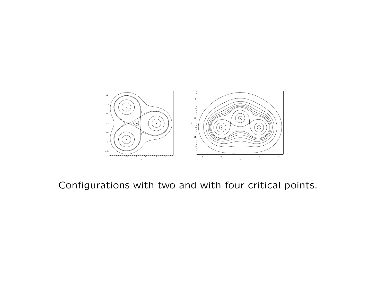

### Configurations with two and with four critical points.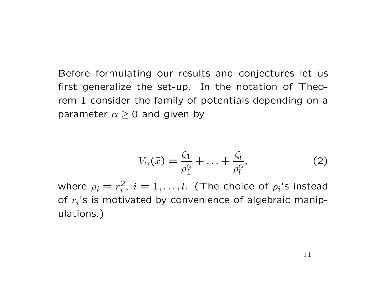Before formulating our results and conjectures let us first generalize the set-up. In the notation of Theorem <sup>1</sup> consider the family of potentials depending on <sup>a</sup> parameter  $\alpha\geq 0$  and given by

$$
V_{\alpha}(\bar{x}) = \frac{\zeta_1}{\rho_1^{\alpha}} + \ldots + \frac{\zeta_l}{\rho_l^{\alpha}},\tag{2}
$$

where  $\rho_i=r_i^2$  $i \overline{i}_i, i = 1, \ldots, l.$  (The choice of  $\rho_i$ 's instead of  $r_i$ 's is motivated by convenience of algebraic manipulations.)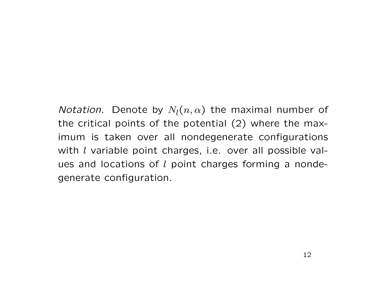*Notation.* Denote by  $N_l(n,\alpha)$  the maximal number of the critical points of the potential (2) where the maximum is taken over all nondegenerate configurations with  $l$  variable point charges, i.e. over all possible values and locations of  $l$  point charges forming a nondegenerate configuration.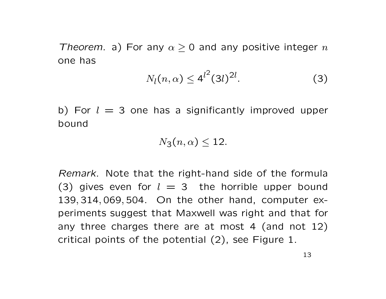Theorem. a) For any  $\alpha \geq 0$  and any positive integer  $n$ one has

$$
N_l(n,\alpha) \le 4^{l^2} (3l)^{2l}.
$$
 (3)

b) For  $l = 3$  one has a significantly improved upper bound

$$
N_3(n,\alpha)\leq 12.
$$

Remark. Note that the right-hand side of the formula (3) gives even for  $l = 3$  the horrible upper bound 139, <sup>314</sup>, <sup>069</sup>, 504. On the other hand, computer experiments suggest that Maxwell was right and that for any three charges there are at most <sup>4</sup> (and not 12) critical points of the potential (2), see Figure 1.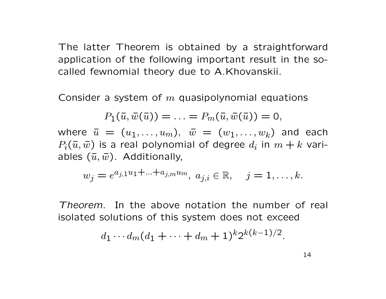The latter Theorem is obtained by <sup>a</sup> straightforward application of the following important result in the socalled fewnomial theory due to A.Khovanskii.

Consider a system of  $m$  quasipolynomial equations

$$
P_1(\bar{u},\bar{w}(\bar{u}))=\ldots=P_m(\bar{u},\bar{w}(\bar{u}))=0,
$$

where  $\bar{u} = (u_1, \ldots, u_m), \ \bar{w} = (w_1, \ldots, w_k)$  and each  $P_i(\bar{u},\bar{w})$  is a real polynomial of degree  $d_i$  in  $m+k$  variables  $(\bar{u},\bar{w})$ . Additionally,

$$
w_j = e^{a_{j,1}u_1 + \ldots + a_{j,m}u_m}, \ a_{j,i} \in \mathbb{R}, \quad j = 1, \ldots, k.
$$

Theorem. In the above notation the number of real isolated solutions of this system does not exceed

$$
d_1\cdots d_m(d_1+\cdots+d_m+1)^k 2^{k(k-1)/2}
$$

.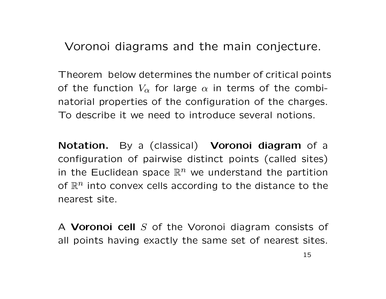Voronoi diagrams and the main conjecture.

Theorem below determines the number of critical points of the function  $V_\alpha$  for large  $\alpha$  in terms of the combinatorial properties of the configuration of the charges. To describe it we need to introduce several notions.

Notation. By a (classical) Voronoi diagram of a<br>configuration of pairwise distinct points (called sites) configuration of pairwise distinct points (called sites) in the Euclidean space  $\mathbb{R}^n$  we understand the partition of  $\mathbb{R}^n$  into convex cells according to the distance to the nearest site.

A **Voronoi cell** S of the Voronoi diagram consists of all points having exactly the same set of nearest sites.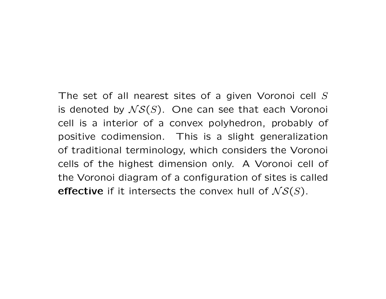## The set of all nearest sites of a given Voronoi cell  $S$ is denoted by  $\mathcal{NS}(S)$ . One can see that each Voronoi cell is <sup>a</sup> interior of <sup>a</sup> convex polyhedron, probably of positive codimension. This is <sup>a</sup> slight generalization of traditional terminology, which considers the Voronoi cells of the highest dimension only. <sup>A</sup> Voronoi cell of

the Voronoi diagram of <sup>a</sup> configuration of sites is called **effective** if it intersects the convex hull of  $\mathcal{NS}(S)$ .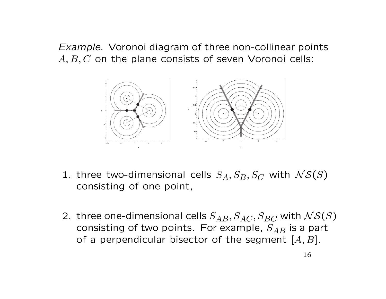Example. Voronoi diagram of three non-collinear points  $A, B, C$  on the plane consists of seven Voronoi cells:



- 1. three two-dimensional cells  $S_A, S_B, S_C$  with  $\mathcal{NS}(S)$ <br>consisting of one point consisting of one point,
- 2. three one-dimensional cells  $S_{AB}, S_{AC}, S_{BC}$  with  $NS(S)$ <br>consisting of two points. Ear example,  $S$  is a part consisting of two points. For example,  $S_{AB}$  is a part<br>of a perpendicular bisector of the seqment [4, P] of a perpendicular bisector of the segment  $[A, B]$ .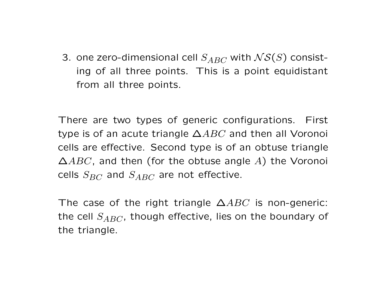3. one zero-dimensional cell  $S_{ABC}$  with  $\mathcal{NS}(S)$  consisting of all three points. This is <sup>a</sup> point equidistant from all three points.

There are two types of generic configurations. First type is of an acute triangle  $\Delta ABC$  and then all Voronoi cells are effective. Second type is of an obtuse triangle  $\Delta ABC$ , and then (for the obtuse angle  $A$ ) the Voronoi cells  $S_{BC}$  and  $S_{ABC}$  are not effective.

The case of the right triangle  $\Delta ABC$  is non-generic: the cell  $S_{ABC}$ , though effective, lies on the boundary of the triangle.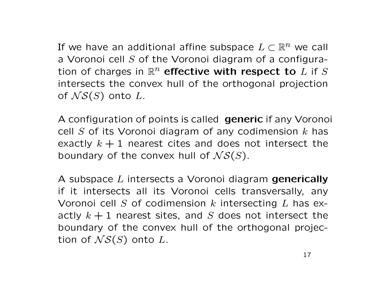If we have an additional affine subspace  $L\subset \mathbb{R}^n$  we call <sup>a</sup> Voronoi cell S of the Voronoi diagram of <sup>a</sup> configuration of charges in  $\mathbb{R}^n$  effective with respect to  $L$  if  $S$ intersects the convex hull of the orthogonal projection of  $\mathcal{N}\mathcal{S}(S)$  onto  $L.$ 

<sup>A</sup> configuration of points is called generic if any Voronoi cell  $S$  of its Voronoi diagram of any codimension  $k$  has exactly  $k+1$  nearest cites and does not intersect the boundary of the convex hull of  $\mathcal{NS}(S).$ 

A subspace *L* intersects a Voronoi diagram **generically**<br>if it intersects all its Veronoi cells transversally, any if it intersects all its Voronoi cells transversally, any Voronoi cell  $S$  of codimension  $k$  intersecting  $L$  has exactly  $k+1$  nearest sites, and  $S$  does not intersect the boundary of the convex hull of the orthogonal projection of  $\mathcal{NS}(S)$  onto  $L.$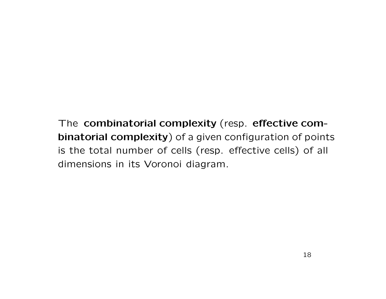The combinatorial complexity (resp. effective combinatorial complexity) of a given configuration of points is the total number of cells (resp. effective cells) of all dimensions in its Voronoi diagram.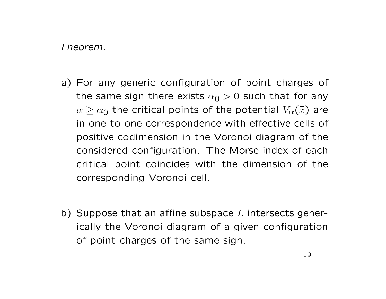#### Theorem.

- a) For any generic configuration of point charges of the same sign there exists  $\alpha_0 > 0$  such that for any  $\alpha \geq \alpha_0$  the critical points of the potential  $V_\alpha(\bar{x})$  are in one-to-one correspondence with effective cells of positive codimension in the Voronoi diagram of the considered configuration. The Morse index of each critical point coincides with the dimension of the corresponding Voronoi cell.
- b) Suppose that an affine subspace  $L$  intersects generically the Voronoi diagram of <sup>a</sup> given configuration of point charges of the same sign.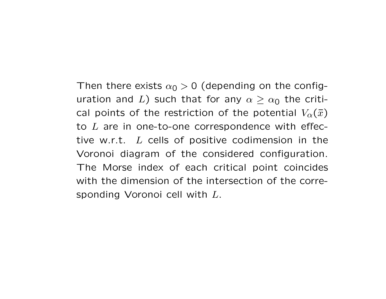Then there exists  $\alpha_0 > 0$  (depending on the configuration and  $L$ ) such that for any  $\alpha \geq \alpha_0$  the critical points of the restriction of the potential  $V_\alpha(\bar{x})$ to  $L$  are in one-to-one correspondence with effective w.r.t.  $L$  cells of positive codimension in the Voronoi diagram of the considered configuration. The Morse index of each critical point coincides with the dimension of the intersection of the corresponding Voronoi cell with <sup>L</sup>.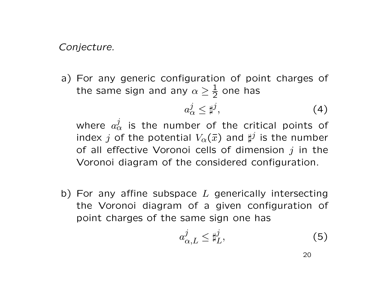Conjecture.

a) For any generic configuration of point charges of the same sign and any  $\alpha \geq \frac{1}{2}$  one has

$$
a^j_\alpha \leq \sharp^j,\tag{4}
$$

where  $a_{\alpha}^{j}$  is the number of the critical points of index  $j$  of the potential  $V_\alpha(\bar{x})$  and  $\sharp^j$  is the number of all effective Voronoi cells of dimension  $j$  in the Voronoi diagram of the considered configuration.

b) For any affine subspace  $L$  generically intersecting the Voronoi diagram of <sup>a</sup> given configuration of point charges of the same sign one has

$$
a_{\alpha,L}^j \le \sharp_L^j,\tag{5}
$$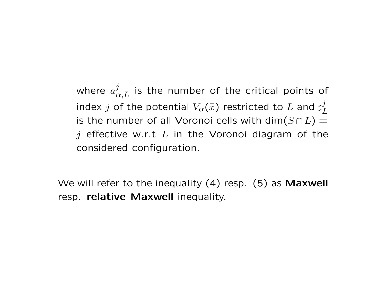where  $a_{\alpha,L}^j$  is the number of the critical points of index  $j$  of the potential  $V_\alpha(\bar{x})$  restricted to  $L$  and  $\sharp_L^j$ is the number of all Voronoi cells with  $\mathsf{dim}(S \cap L) =$  $j$  effective w.r.t  $L$  in the Voronoi diagram of the considered configuration.

We will refer to the inequality  $(4)$  resp.  $(5)$  as Maxwell resp. relative Maxwell inequality.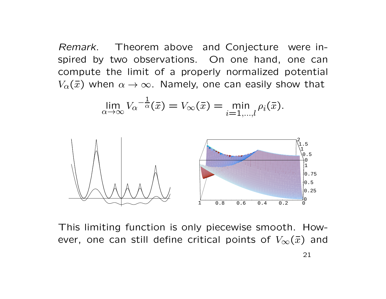Remark. Theorem above and Conjecture were inspired by two observations. On one hand, one can compute the limit of <sup>a</sup> properly normalized potential  $V_\alpha(\bar{x})$  when  $\alpha \to \infty$ . Namely, one can easily show that

$$
\lim_{\alpha \to \infty} V_{\alpha}^{-\frac{1}{\alpha}}(\overline{x}) = V_{\infty}(\overline{x}) = \min_{i=1,\dots,l} \rho_i(\overline{x}).
$$



This limiting function is only piecewise smooth. However, one can still define critical points of  $V_{\infty}(\bar{x})$  and 21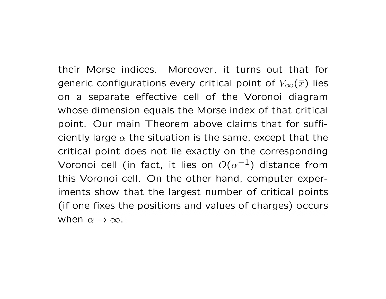their Morse indices. Moreover, it turns out that for generic configurations every critical point of  $V_\infty(\bar x)$  lies on <sup>a</sup> separate effective cell of the Voronoi diagram whose dimension equals the Morse index of that critical point. Our main Theorem above claims that for sufficiently large  $\alpha$  the situation is the same, except that the critical point does not lie exactly on the corresponding Voronoi cell (in fact, it lies on  $O(\alpha^{-1})$  distance from this Voronoi cell. On the other hand, computer experiments show that the largest number of critical points (if one fixes the positions and values of charges) occurs when  $\alpha \to \infty$ .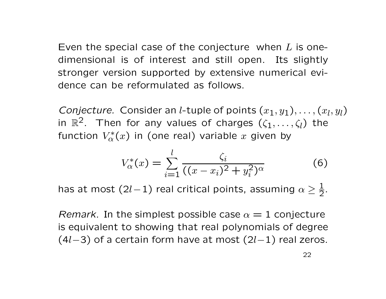Even the special case of the conjecture when  $L$  is onedimensional is of interest and still open. Its slightly stronger version supported by extensive numerical evidence can be reformulated as follows.

*Conjecture.* Consider an *l*-tuple of points  $(x_1,y_1),\ldots,(x_l,y_l)$ in  $\mathbb{R}^2$ . Then for any values of charges  $(\zeta_1,\ldots,\zeta_l)$  the function  $V_{\alpha}^{*}(x)$  in (one real) variable  $x$  giv  $\mathcal{C}^*_{\alpha}(x)$  in (one real) variable  $x$  given by

$$
V_{\alpha}^{*}(x) = \sum_{i=1}^{l} \frac{\zeta_{i}}{((x - x_{i})^{2} + y_{i}^{2})^{\alpha}}
$$
(6)

has at most (2l−1) real critical points, assuming  $\alpha \geq \frac{1}{2}$ 2.

*Remark.* In the simplest possible case  $\alpha = 1$  conjecture is equivalent to showing that real polynomials of degree  $(4l-3)$  of a certain form have at most  $(2l-1)$  real zeros.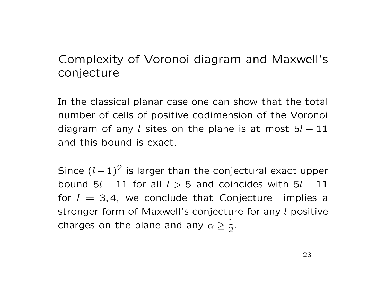## Complexity of Voronoi diagram and Maxwell's conjecture

In the classical planar case one can show that the total number of cells of positive codimension of the Voronoi diagram of any  $l$  sites on the plane is at most  $5l-11$ and this bound is exact.

Since  $(l-1)^2$  is larger than the conjectural exact upper bound 5 $l-11$  for all  $l>5$  and coincides with 5 $l-11$ for  $l = 3, 4$ , we conclude that Conjecture implies a stronger form of Maxwell's conjecture for any l positive charges on the plane and any  $\alpha\geq\frac{1}{2}$ 2.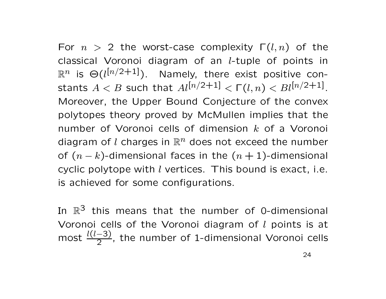For  $n > 2$  the worst-case complexity  $\Gamma(l,n)$  of the classical Voronoi diagram of an <sup>l</sup>-tuple of points in  $\mathbb{R}^n$  is  $\Theta(l^{[n/2+1]})$ . Namely, there exist positive constants  $A < B$  such that  $Al^{[n/2+1]} < \Gamma(l,n) < Bl^{[n/2+1]}.$ Moreover, the Upper Bound Conjecture of the convex polytopes theory proved by McMullen implies that the number of Voronoi cells of dimension  $k$  of a Voronoi diagram of  $l$  charges in  $\mathbb{R}^n$  does not exceed the number of  $(n-k)$ -dimensional faces in the  $(n+1)$ -dimensional cyclic polytope with  $l$  vertices. This bound is exact, i.e. is achieved for some configurations.

In  $\mathbb{R}^3$  this means that the number of 0-dimensional Voronoi cells of the Voronoi diagram of  $l$  points is at mostt  $\frac{l(l-3)}{2}$  $\frac{1}{2}$ , the number of 1-dimensional Voronoi cells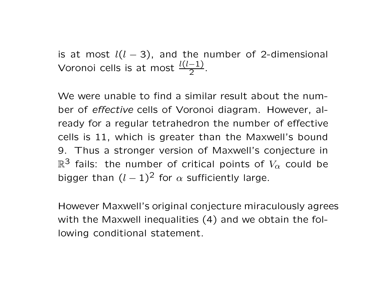is at most  $l(l-3)$ , and the number of 2-dimensional Voronoi cells is at most  $\frac{l(l-1)}{2}$ .

We were unable to find <sup>a</sup> similar result about the number of effective cells of Voronoi diagram. However, already for <sup>a</sup> regular tetrahedron the number of effective cells is 11, which is greater than the Maxwell's bound 9. Thus <sup>a</sup> stronger version of Maxwell's conjecture in  $\mathbb{R}^3$  fails: the number of critical points of  $V_\alpha$  could be bigger than  $(l-1)^2$  for  $\alpha$  sufficiently large.

However Maxwell's original conjecture miraculously agrees with the Maxwell inequalities (4) and we obtain the following conditional statement.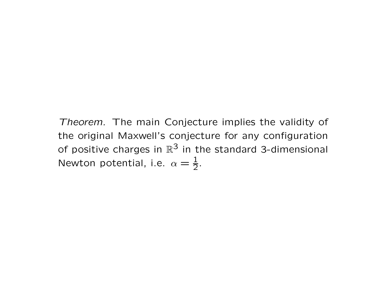Theorem. The main Conjecture implies the validity of the original Maxwell's conjecture for any configuration of positive charges in  $\mathbb{R}^3$  in the standard 3-dimensional Newton potential, i.e.  $\alpha = \frac{1}{2}$ .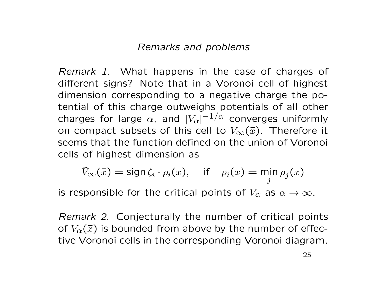#### Remarks and problems

Remark 1. What happens in the case of charges of different signs? Note that in <sup>a</sup> Voronoi cell of highest dimension corresponding to <sup>a</sup> negative charge the potential of this charge outweighs potentials of all other charges for large  $\alpha$ , and  $|V_\alpha|^{-1/\alpha}$  converges uniformly on compact subsets of this cell to  $V_{\infty}(\bar{x})$ . Therefore it seems that the function defined on the union of Voronoi cells of highest dimension as

$$
\tilde{V}_{\infty}(\bar{x}) = \text{sign}\,\zeta_i \cdot \rho_i(x), \quad \text{if} \quad \rho_i(x) = \min_j \rho_j(x)
$$

is responsible for the critical points of  $V_\alpha$  as  $\alpha \to \infty$ .

Remark 2. Conjecturally the number of critical points of  $V_\alpha(\bar{x})$  is bounded from above by the number of effective Voronoi cells in the corresponding Voronoi diagram.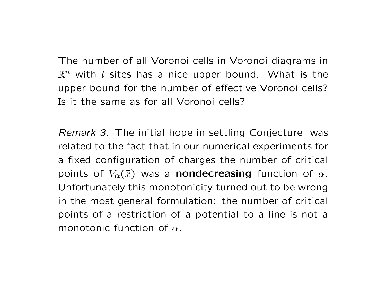The number of all Voronoi cells in Voronoi diagrams in  $\mathbb{R}^n$  with  $l$  sites has a nice upper bound. What is the upper bound for the number of effective Voronoi cells? Is it the same as for all Voronoi cells?

Remark 3. The initial hope in settling Conjecture was related to the fact that in our numerical experiments for <sup>a</sup> fixed configuration of charges the number of critical points of  $V_\alpha(\bar{x})$  was a **nondecreasing** function of  $\alpha$ . Unfortunately this monotonicity turned out to be wrong in the most general formulation: the number of critical points of <sup>a</sup> restriction of <sup>a</sup> potential to <sup>a</sup> line is not <sup>a</sup> monotonic function of  $\alpha.$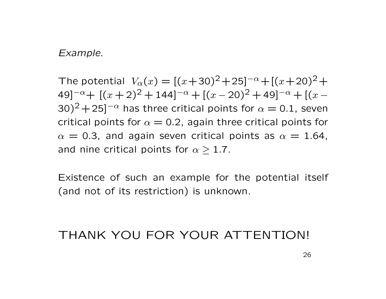#### Example.

The potential  $V_{\alpha}(x) = [(x+30)^2 + 25]^{-\alpha} + [(x+20)^2 +$ 49]<sup>−α</sup>+ [(x+2)<sup>2</sup> + 144]<sup>−α</sup> + [(x − 49]<sup>−α</sup>+ [( $x$  + 2)<sup>2</sup> + 144]<sup>−α</sup> + [( $x$  − 20)<sup>2</sup> + 49]<sup>−α</sup> + [( $x$  −<br>30)<sup>2</sup> + 25]<sup>−α</sup> has three critical points for  $\alpha=$  0.1, seven  $\alpha$  has three critical points for  $\alpha = 0.1$ , seven critical points for  $\alpha = 0.2$ , again three critical points for  $\alpha$  = 0.3, and again seven critical points as  $\alpha$  = 1.64, and nine critical points for  $\alpha \geq 1.7$ .

Existence of such an example for the potential itself (and not of its restriction) is unknown.

## THANK YOU FOR YOUR ATTENTION!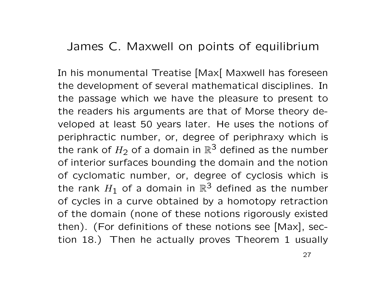## James C. Maxwell on points of equilibrium

In his monumental Treatise [Max] Maxwell has foreseen the development of several mathematical disciplines. In the passage which we have the pleasure to present to the readers his arguments are that of Morse theory developed at least <sup>50</sup> years later. He uses the notions of periphractic number, or, degree of periphraxy which is the rank of  $H_2$  of a domain in  $\mathbb{R}^3$  defined as the number of interior surfaces bounding the domain and the notion of cyclomatic number, or, degree of cyclosis which is the rank  $H_1$  of a domain in  $\mathbb{R}^3$  defined as the number of cycles in a curve obtained by a homotopy retraction of the domain (none of these notions rigorously existed then). (For definitions of these notions see [Max], section 18.) Then he actually proves Theorem <sup>1</sup> usually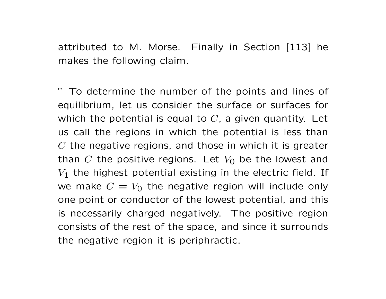attributed to M. Morse. Finally in Section [113] he makes the following claim.

" To determine the number of the points and lines of equilibrium, let us consider the surface or surfaces for which the potential is equal to  $C$ , a given quantity. Let us call the regions in which the potential is less than  $C$  the negative regions, and those in which it is greater than  $C$  the positive regions. Let  $V_0$  be the lowest and  $V_1$  the highest potential existing in the electric field. If we make  $C=V_0$  the negative region will include only one point or conductor of the lowest potential, and this is necessarily charged negatively. The positive region consists of the rest of the space, and since it surrounds the negative region it is periphractic.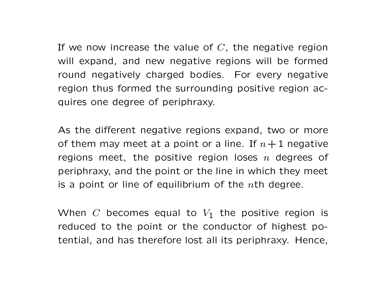If we now increase the value of  $C$ , the negative region will expand, and new negative regions will be formed round negatively charged bodies. For every negative region thus formed the surrounding positive region acquires one degree of periphraxy.

As the different negative regions expand, two or more of them may meet at a point or a line. If  $n+1$  negative regions meet, the positive region loses  $n$  degrees of periphraxy, and the point or the line in which they meet is a point or line of equilibrium of the  $n$ th degree.

When  $C$  becomes equal to  $V_1$  the positive region is reduced to the point or the conductor of highest potential, and has therefore lost all its periphraxy. Hence,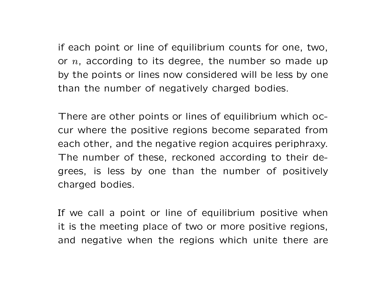if each point or line of equilibrium counts for one, two, or  $n$ , according to its degree, the number so made up by the points or lines now considered will be less by one than the number of negatively charged bodies.

There are other points or lines of equilibrium which occur where the positive regions become separated from each other, and the negative region acquires periphraxy. The number of these, reckoned according to their degrees, is less by one than the number of positively charged bodies.

If we call <sup>a</sup> point or line of equilibrium positive when it is the meeting place of two or more positive regions, and negative when the regions which unite there are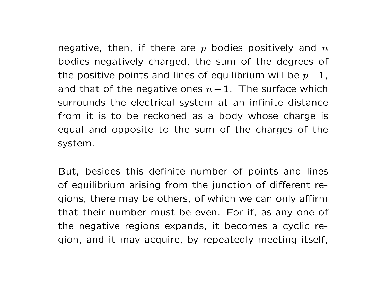negative, then, if there are  $p$  bodies positively and  $n$  bodies negatively charged, the sum of the degrees of the positive points and lines of equilibrium will be  $p-\,$  $\frac{1}{\cdot}$ and that of the negative ones  $n-\,$  $-1$ . The surface which surrounds the electrical system at an infinite distance from it is to be reckoned as <sup>a</sup> body whose charge is equal and opposite to the sum of the charges of the system.

But, besides this definite number of points and lines of equilibrium arising from the junction of different regions, there may be others, of which we can only affirm that their number must be even. For if, as any one of the negative regions expands, it becomes <sup>a</sup> cyclic region, and it may acquire, by repeatedly meeting itself,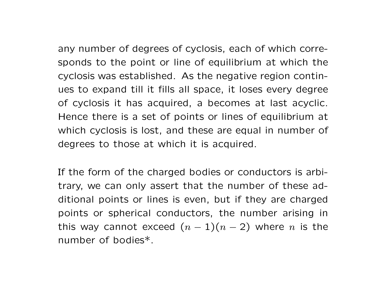any number of degrees of cyclosis, each of which corresponds to the point or line of equilibrium at which the cyclosis was established. As the negative region continues to expand till it fills all space, it loses every degree of cyclosis it has acquired, <sup>a</sup> becomes at last acyclic. Hence there is <sup>a</sup> set of points or lines of equilibrium at which cyclosis is lost, and these are equal in number of degrees to those at which it is acquired.

If the form of the charged bodies or conductors is arbitrary, we can only assert that the number of these additional points or lines is even, but if they are charged points or spherical conductors, the number arising in this way cannot exceed ( $n-\frac{1}{2}$  $-1)(n -$  2) where  $n$  is the number of bodies\*.